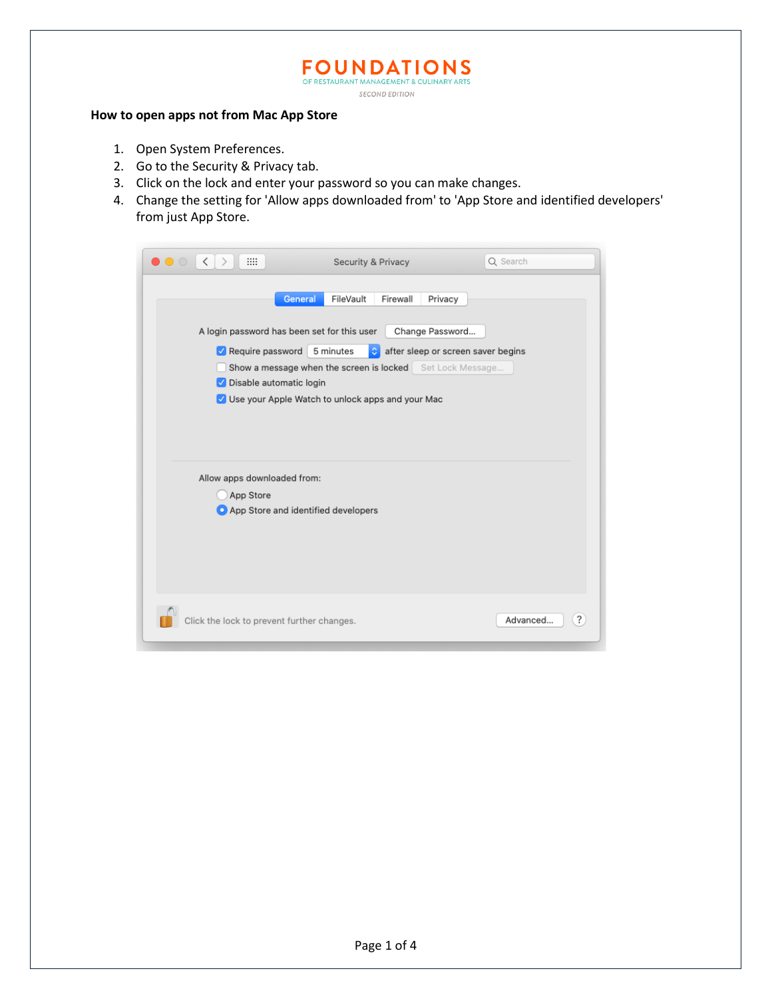## **FOUNDATIONS SECOND EDITION**

**How to open apps not from Mac App Store**

- 1. Open System Preferences.
- 2. Go to the Security & Privacy tab.
- 3. Click on the lock and enter your password so you can make changes.
- 4. Change the setting for 'Allow apps downloaded from' to 'App Store and identified developers' from just App Store.

| $\bullet\,\bullet\,\circ$                                                                                                                                                                                                                                                                                                               | <b>BB</b><br>$\lt$<br>$\rightarrow$                                             | Security & Privacy | Q Search                         |
|-----------------------------------------------------------------------------------------------------------------------------------------------------------------------------------------------------------------------------------------------------------------------------------------------------------------------------------------|---------------------------------------------------------------------------------|--------------------|----------------------------------|
| FileVault<br>General<br>Firewall<br>Privacy<br>A login password has been set for this user<br>Change Password<br>5 minutes<br>after sleep or screen saver begins<br>Require password<br>≎<br>Show a message when the screen is locked Set Lock Message<br>Disable automatic login<br>V Use your Apple Watch to unlock apps and your Mac |                                                                                 |                    |                                  |
|                                                                                                                                                                                                                                                                                                                                         | Allow apps downloaded from:<br>App Store<br>App Store and identified developers |                    |                                  |
|                                                                                                                                                                                                                                                                                                                                         | Click the lock to prevent further changes.                                      |                    | $\ddot{\phantom{0}}$<br>Advanced |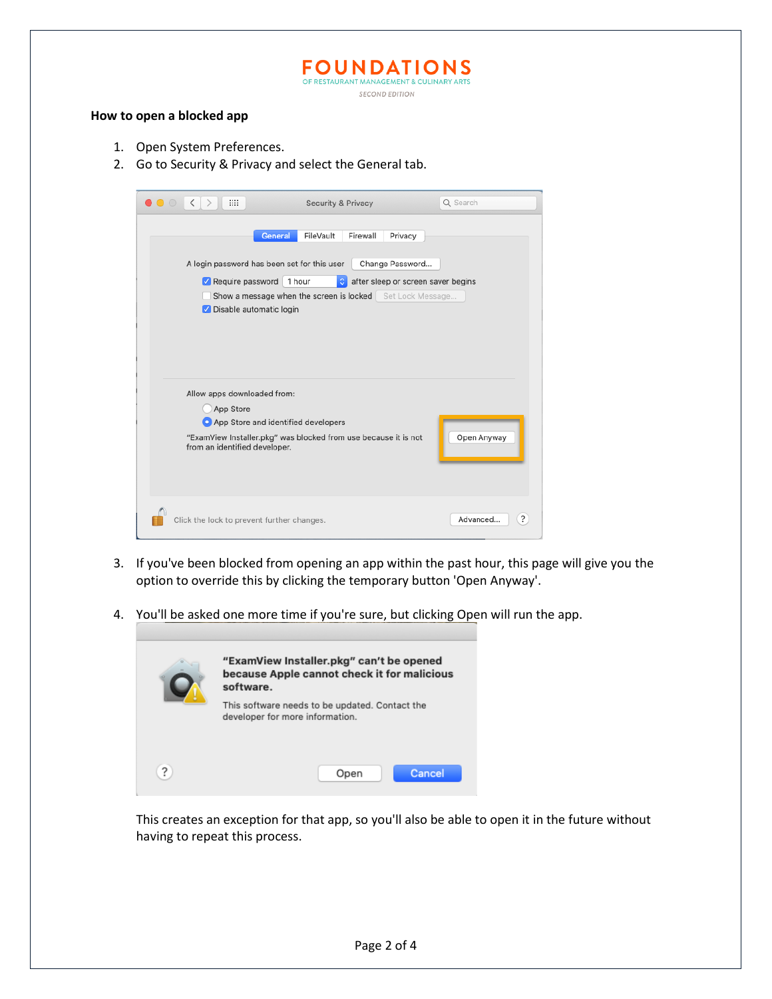**FOUNDATIONS** OF RESTAURANT MANAGEMENT & CULINARY ARTS **SECOND EDITION** 

## **How to open a blocked app**

- 1. Open System Preferences.
- 2. Go to Security & Privacy and select the General tab.



- 3. If you've been blocked from opening an app within the past hour, this page will give you the option to override this by clicking the temporary button 'Open Anyway'.
- 4. You'll be asked one more time if you're sure, but clicking Open will run the app.



This creates an exception for that app, so you'll also be able to open it in the future without having to repeat this process.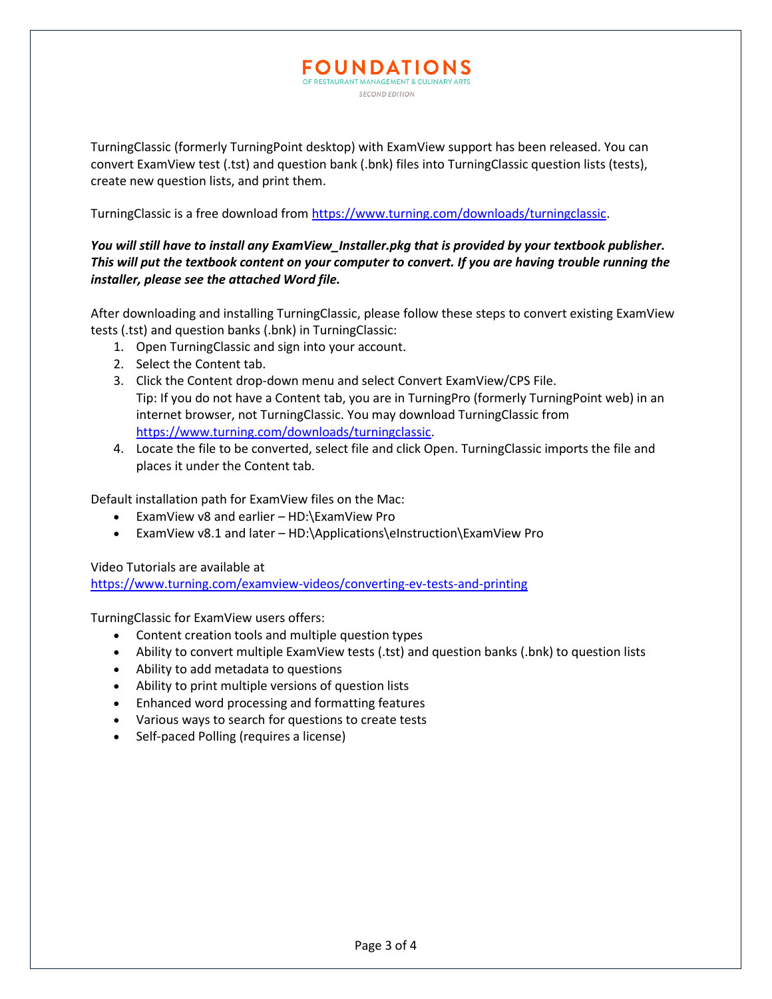TurningClassic (formerly TurningPoint desktop) with ExamView support has been released. You can convert ExamView test (.tst) and question bank (.bnk) files into TurningClassic question lists (tests), create new question lists, and print them.

**FOUNDATIONS** OF RESTAURANT MANAGEMENT & CULINARY A **SECOND EDITION** 

TurningClassic is a free download from [https://www.turning.com/downloads/turningclassic.](https://www.turning.com/downloads/turningclassic)

## *You will still have to install any ExamView\_Installer.pkg that is provided by your textbook publisher. This will put the textbook content on your computer to convert. If you are having trouble running the installer, please see the attached Word file.*

After downloading and installing TurningClassic, please follow these steps to convert existing ExamView tests (.tst) and question banks (.bnk) in TurningClassic:

- 1. Open TurningClassic and sign into your account.
- 2. Select the Content tab.
- 3. Click the Content drop-down menu and select Convert ExamView/CPS File. Tip: If you do not have a Content tab, you are in TurningPro (formerly TurningPoint web) in an internet browser, not TurningClassic. You may download TurningClassic from [https://www.turning.com/downloads/turningclassic.](https://www.turning.com/downloads/turningclassic)
- 4. Locate the file to be converted, select file and click Open. TurningClassic imports the file and places it under the Content tab.

Default installation path for ExamView files on the Mac:

- ExamView v8 and earlier HD:\ExamView Pro
- ExamView v8.1 and later HD:\Applications\eInstruction\ExamView Pro

Video Tutorials are available at

<https://www.turning.com/examview-videos/converting-ev-tests-and-printing>

TurningClassic for ExamView users offers:

- Content creation tools and multiple question types
- Ability to convert multiple ExamView tests (.tst) and question banks (.bnk) to question lists
- Ability to add metadata to questions
- Ability to print multiple versions of question lists
- Enhanced word processing and formatting features
- Various ways to search for questions to create tests
- Self-paced Polling (requires a license)